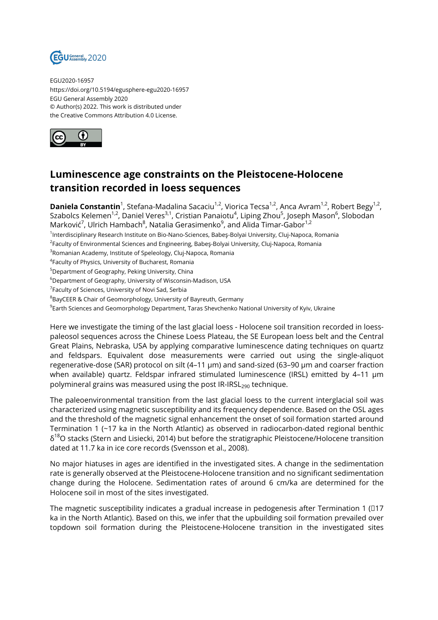

EGU2020-16957 https://doi.org/10.5194/egusphere-egu2020-16957 EGU General Assembly 2020 © Author(s) 2022. This work is distributed under the Creative Commons Attribution 4.0 License.



## **Luminescence age constraints on the Pleistocene-Holocene transition recorded in loess sequences**

**Daniela Constantin**<sup>1</sup>, Stefana-Madalina Sacaciu<sup>1,2</sup>, Viorica Tecsa<sup>1,2</sup>, Anca Avram<sup>1,2</sup>, Robert Begy<sup>1,2</sup>, Szabolcs Kelemen<sup>1,2</sup>, Daniel Veres<sup>3,1</sup>, Cristian Panaiotu<sup>4</sup>, Liping Zhou<sup>5</sup>, Joseph Mason<sup>6</sup>, Slobodan Marković<sup>7</sup>, Ulrich Hambach<sup>8</sup>, Natalia Gerasimenko<sup>9</sup>, and Alida Timar-Gabor<sup>1,2</sup>

1 Interdisciplinary Research Institute on Bio-Nano-Sciences, Babeş-Bolyai University, Cluj-Napoca, Romania

<sup>2</sup>Faculty of Environmental Sciences and Engineering, Babeş-Bolyai University, Cluj-Napoca, Romania

 $^3$ Romanian Academy, Institute of Speleology, Cluj-Napoca, Romania

4 Faculty of Physics, University of Bucharest, Romania

<sup>5</sup>Department of Geography, Peking University, China

<sup>6</sup>Department of Geography, University of Wisconsin-Madison, USA

 $\mathrm{^{7}}$ Faculty of Sciences, University of Novi Sad, Serbia

<sup>8</sup>BayCEER & Chair of Geomorphology, University of Bayreuth, Germany

<sup>9</sup>Earth Sciences and Geomorphology Department, Taras Shevchenko National University of Kyiv, Ukraine

Here we investigate the timing of the last glacial loess - Holocene soil transition recorded in loesspaleosol sequences across the Chinese Loess Plateau, the SE European loess belt and the Central Great Plains, Nebraska, USA by applying comparative luminescence dating techniques on quartz and feldspars. Equivalent dose measurements were carried out using the single-aliquot regenerative-dose (SAR) protocol on silt (4–11 μm) and sand-sized (63–90 μm and coarser fraction when available) quartz. Feldspar infrared stimulated luminescence (IRSL) emitted by 4–11 μm polymineral grains was measured using the post  $IR-IRSL_{290}$  technique.

The paleoenvironmental transition from the last glacial loess to the current interglacial soil was characterized using magnetic susceptibility and its frequency dependence. Based on the OSL ages and the threshold of the magnetic signal enhancement the onset of soil formation started around Termination 1 (~17 ka in the North Atlantic) as observed in radiocarbon-dated regional benthic  $\delta^{18}$ O stacks (Stern and Lisiecki, 2014) but before the stratigraphic Pleistocene/Holocene transition dated at 11.7 ka in ice core records (Svensson et al., 2008).

No major hiatuses in ages are identified in the investigated sites. A change in the sedimentation rate is generally observed at the Pleistocene-Holocene transition and no significant sedimentation change during the Holocene. Sedimentation rates of around 6 cm/ka are determined for the Holocene soil in most of the sites investigated.

The magnetic susceptibility indicates a gradual increase in pedogenesis after Termination 1 (□17 ka in the North Atlantic). Based on this, we infer that the upbuilding soil formation prevailed over topdown soil formation during the Pleistocene-Holocene transition in the investigated sites